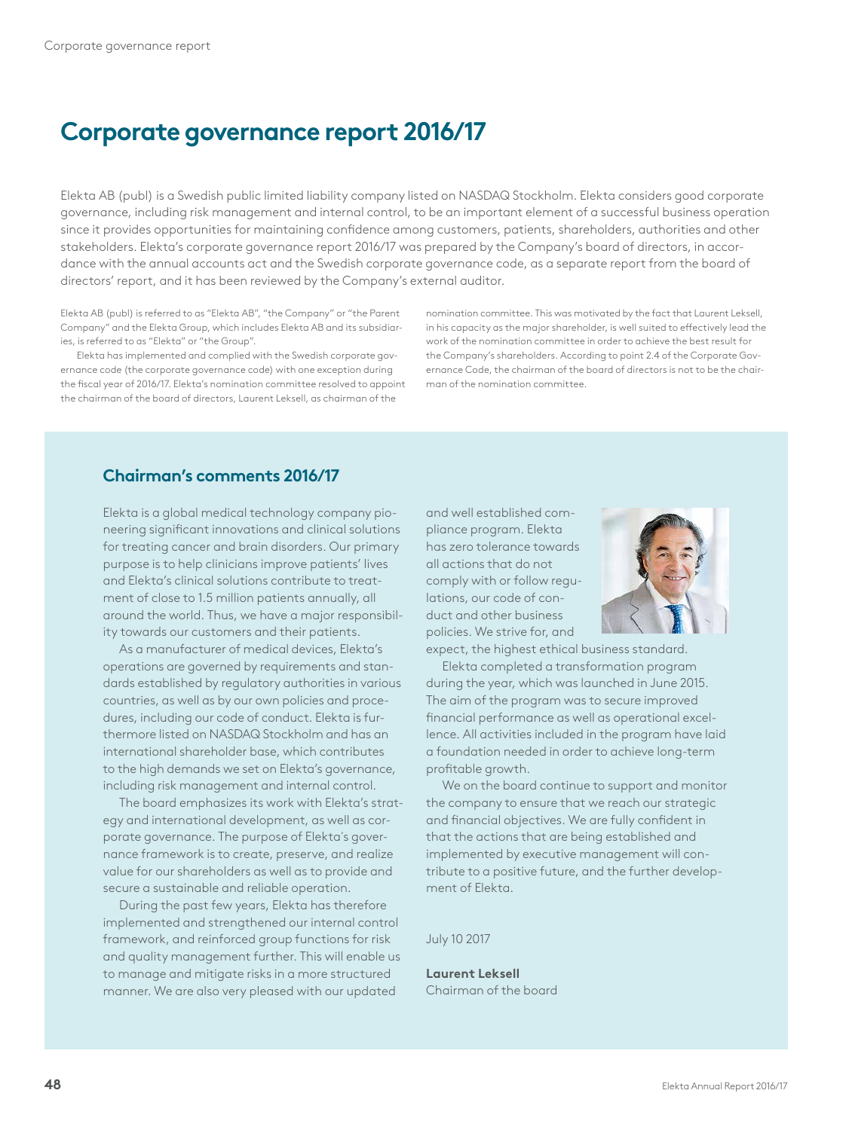# **Corporate governance report 2016/17**

Elekta AB (publ) is a Swedish public limited liability company listed on NASDAQ Stockholm. Elekta considers good corporate governance, including risk management and internal control, to be an important element of a successful business operation since it provides opportunities for maintaining confidence among customers, patients, shareholders, authorities and other stakeholders. Elekta's corporate governance report 2016/17 was prepared by the Company's board of directors, in accordance with the annual accounts act and the Swedish corporate governance code, as a separate report from the board of directors' report, and it has been reviewed by the Company's external auditor.

Elekta AB (publ) is referred to as "Elekta AB", "the Company" or "the Parent Company" and the Elekta Group, which includes Elekta AB and its subsidiaries, is referred to as "Elekta" or "the Group".

Elekta has implemented and complied with the Swedish corporate governance code (the corporate governance code) with one exception during the fiscal year of 2016/17. Elekta's nomination committee resolved to appoint the chairman of the board of directors, Laurent Leksell, as chairman of the

nomination committee. This was motivated by the fact that Laurent Leksell, in his capacity as the major shareholder, is well suited to effectively lead the work of the nomination committee in order to achieve the best result for the Company's shareholders. According to point 2.4 of the Corporate Governance Code, the chairman of the board of directors is not to be the chairman of the nomination committee.

# **Chairman's comments 2016/17**

Elekta is a global medical technology company pioneering significant innovations and clinical solutions for treating cancer and brain disorders. Our primary purpose is to help clinicians improve patients' lives and Elekta's clinical solutions contribute to treatment of close to 1.5 million patients annually, all around the world. Thus, we have a major responsibility towards our customers and their patients.

As a manufacturer of medical devices, Elekta's operations are governed by requirements and standards established by regulatory authorities in various countries, as well as by our own policies and procedures, including our code of conduct. Elekta is furthermore listed on NASDAQ Stockholm and has an international shareholder base, which contributes to the high demands we set on Elekta's governance, including risk management and internal control.

The board emphasizes its work with Elekta's strategy and international development, as well as corporate governance. The purpose of Elekta´s governance framework is to create, preserve, and realize value for our shareholders as well as to provide and secure a sustainable and reliable operation.

During the past few years, Elekta has therefore implemented and strengthened our internal control framework, and reinforced group functions for risk and quality management further. This will enable us to manage and mitigate risks in a more structured manner. We are also very pleased with our updated

and well established compliance program. Elekta has zero tolerance towards all actions that do not comply with or follow regulations, our code of conduct and other business policies. We strive for, and



expect, the highest ethical business standard.

Elekta completed a transformation program during the year, which was launched in June 2015. The aim of the program was to secure improved financial performance as well as operational excellence. All activities included in the program have laid a foundation needed in order to achieve long-term profitable growth.

We on the board continue to support and monitor the company to ensure that we reach our strategic and financial objectives. We are fully confident in that the actions that are being established and implemented by executive management will contribute to a positive future, and the further development of Elekta.

July 10 2017

**Laurent Leksell** Chairman of the board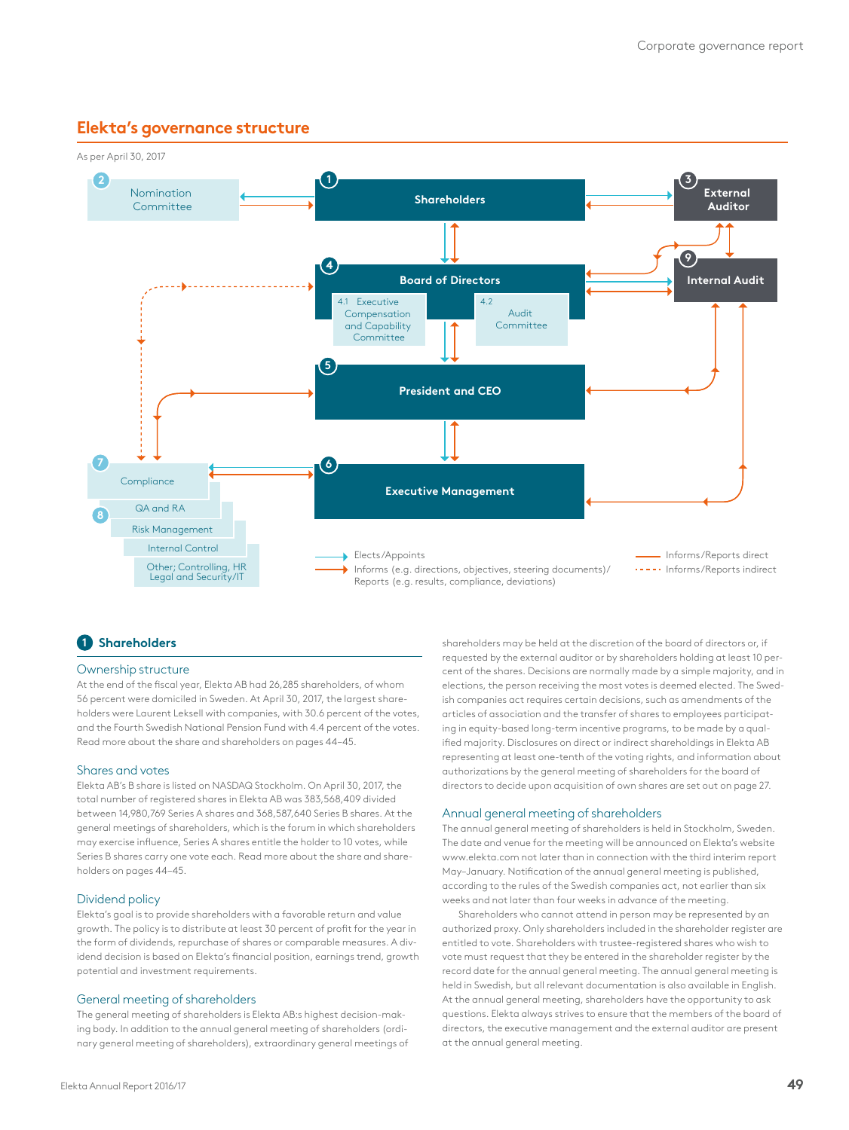# **Elekta's governance structure**



# **1 Shareholders**

### Ownership structure

At the end of the fiscal year, Elekta AB had 26,285 shareholders, of whom 56 percent were domiciled in Sweden. At April 30, 2017, the largest shareholders were Laurent Leksell with companies, with 30.6 percent of the votes, and the Fourth Swedish National Pension Fund with 4.4 percent of the votes. Read more about the share and shareholders on pages 44–45.

#### Shares and votes

Elekta AB's B share is listed on NASDAQ Stockholm. On April 30, 2017, the total number of registered shares in Elekta AB was 383,568,409 divided between 14,980,769 Series A shares and 368,587,640 Series B shares. At the general meetings of shareholders, which is the forum in which shareholders may exercise influence, Series A shares entitle the holder to 10 votes, while Series B shares carry one vote each. Read more about the share and shareholders on pages 44–45.

## Dividend policy

Elekta's goal is to provide shareholders with a favorable return and value growth. The policy is to distribute at least 30 percent of profit for the year in the form of dividends, repurchase of shares or comparable measures. A dividend decision is based on Elekta's financial position, earnings trend, growth potential and investment requirements.

# General meeting of shareholders

The general meeting of shareholders is Elekta AB:s highest decision-making body. In addition to the annual general meeting of shareholders (ordinary general meeting of shareholders), extraordinary general meetings of shareholders may be held at the discretion of the board of directors or, if requested by the external auditor or by shareholders holding at least 10 percent of the shares. Decisions are normally made by a simple majority, and in elections, the person receiving the most votes is deemed elected. The Swedish companies act requires certain decisions, such as amendments of the articles of association and the transfer of shares to employees participating in equity-based long-term incentive programs, to be made by a qualified majority. Disclosures on direct or indirect shareholdings in Elekta AB representing at least one-tenth of the voting rights, and information about authorizations by the general meeting of shareholders for the board of directors to decide upon acquisition of own shares are set out on page 27.

### Annual general meeting of shareholders

The annual general meeting of shareholders is held in Stockholm, Sweden. The date and venue for the meeting will be announced on Elekta's website www.elekta.com not later than in connection with the third interim report May–January. Notification of the annual general meeting is published, according to the rules of the Swedish companies act, not earlier than six weeks and not later than four weeks in advance of the meeting.

Shareholders who cannot attend in person may be represented by an authorized proxy. Only shareholders included in the shareholder register are entitled to vote. Shareholders with trustee-registered shares who wish to vote must request that they be entered in the shareholder register by the record date for the annual general meeting. The annual general meeting is held in Swedish, but all relevant documentation is also available in English. At the annual general meeting, shareholders have the opportunity to ask questions. Elekta always strives to ensure that the members of the board of directors, the executive management and the external auditor are present at the annual general meeting.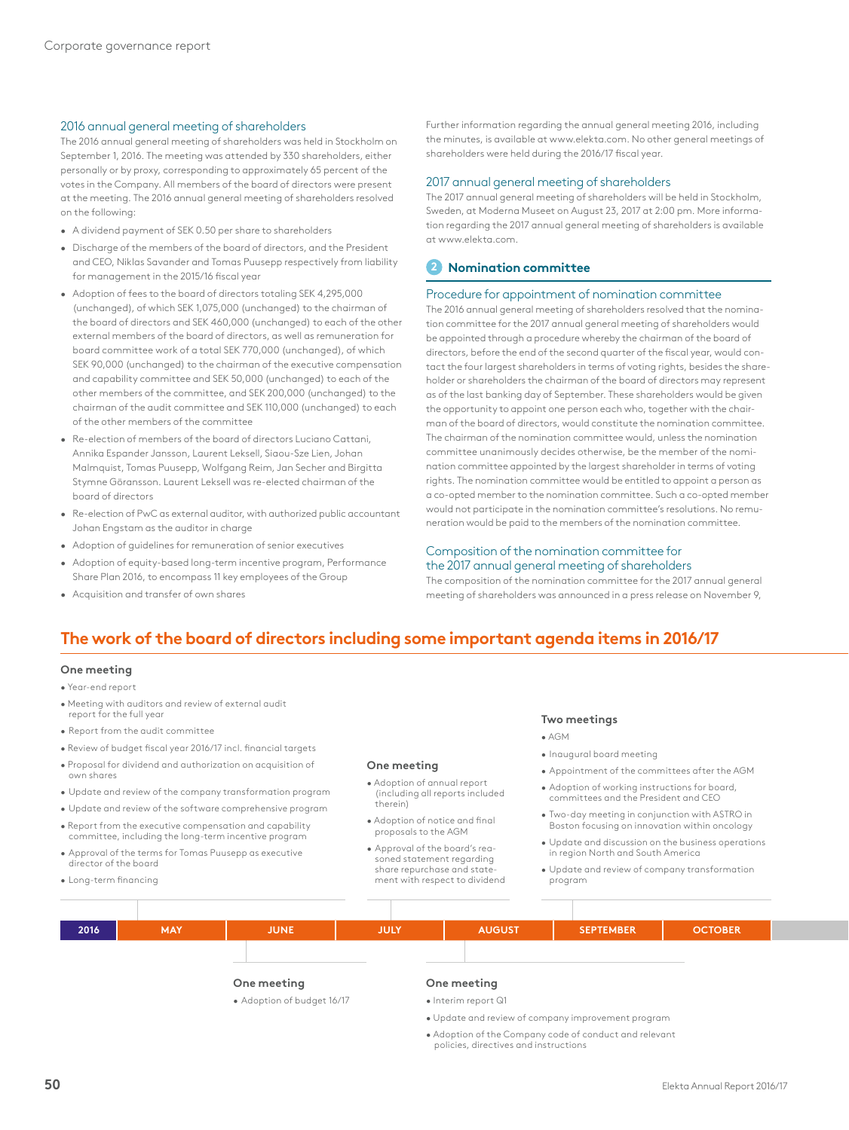# 2016 annual general meeting of shareholders

The 2016 annual general meeting of shareholders was held in Stockholm on September 1, 2016. The meeting was attended by 330 shareholders, either personally or by proxy, corresponding to approximately 65 percent of the votes in the Company. All members of the board of directors were present at the meeting. The 2016 annual general meeting of shareholders resolved on the following:

- A dividend payment of SEK 0.50 per share to shareholders
- Discharge of the members of the board of directors, and the President and CEO, Niklas Savander and Tomas Puusepp respectively from liability for management in the 2015/16 fiscal year
- Adoption of fees to the board of directors totaling SEK 4,295,000 (unchanged), of which SEK 1,075,000 (unchanged) to the chairman of the board of directors and SEK 460,000 (unchanged) to each of the other external members of the board of directors, as well as remuneration for board committee work of a total SEK 770,000 (unchanged), of which SEK 90,000 (unchanged) to the chairman of the executive compensation and capability committee and SEK 50,000 (unchanged) to each of the other members of the committee, and SEK 200,000 (unchanged) to the chairman of the audit committee and SEK 110,000 (unchanged) to each of the other members of the committee
- Re-election of members of the board of directors Luciano Cattani, Annika Espander Jansson, Laurent Leksell, Siaou-Sze Lien, Johan Malmquist, Tomas Puusepp, Wolfgang Reim, Jan Secher and Birgitta Stymne Göransson. Laurent Leksell was re-elected chairman of the board of directors
- Re-election of PwC as external auditor, with authorized public accountant Johan Engstam as the auditor in charge
- Adoption of guidelines for remuneration of senior executives
- Adoption of equity-based long-term incentive program, Performance Share Plan 2016, to encompass 11 key employees of the Group
- Acquisition and transfer of own shares

Further information regarding the annual general meeting 2016, including the minutes, is available at www.elekta.com. No other general meetings of shareholders were held during the 2016/17 fiscal year.

# 2017 annual general meeting of shareholders

The 2017 annual general meeting of shareholders will be held in Stockholm, Sweden, at Moderna Museet on August 23, 2017 at 2:00 pm. More information regarding the 2017 annual general meeting of shareholders is available at www.elekta.com.

# **2 Nomination committee**

# Procedure for appointment of nomination committee

The 2016 annual general meeting of shareholders resolved that the nomination committee for the 2017 annual general meeting of shareholders would be appointed through a procedure whereby the chairman of the board of directors, before the end of the second quarter of the fiscal year, would contact the four largest shareholders in terms of voting rights, besides the shareholder or shareholders the chairman of the board of directors may represent as of the last banking day of September. These shareholders would be given the opportunity to appoint one person each who, together with the chairman of the board of directors, would constitute the nomination committee. The chairman of the nomination committee would, unless the nomination committee unanimously decides otherwise, be the member of the nomination committee appointed by the largest shareholder in terms of voting rights. The nomination committee would be entitled to appoint a person as a co-opted member to the nomination committee. Such a co-opted member would not participate in the nomination committee's resolutions. No remuneration would be paid to the members of the nomination committee.

# Composition of the nomination committee for the 2017 annual general meeting of shareholders

The composition of the nomination committee for the 2017 annual general meeting of shareholders was announced in a press release on November 9,

# **The work of the board of directors including some important agenda items in 2016/17**

### **One meeting**

- Year-end report
- Meeting with auditors and review of external audit report for the full year
- Report from the audit committee
- Review of budget fiscal year 2016/17 incl. financial targets • Proposal for dividend and authorization on acquisition of own shares
- Update and review of the company transformation program
- Update and review of the software comprehensive program
- Report from the executive compensation and capability committee, including the long-term incentive program
- Approval of the terms for Tomas Puusepp as executive director of the board
- Long-term financing
- **One meeting**
- Adoption of annual report (including all reports included therein)
- Adoption of notice and final proposals to the AGM
- Approval of the board's reasoned statement regarding share repurchase and statement with respect to dividend

### **Two meetings**

- AGM
- Inaugural board meeting
- Appointment of the committees after the AGM
- Adoption of working instructions for board, committees and the President and CEO
- Two-day meeting in conjunction with ASTRO in Boston focusing on innovation within oncology
- Update and discussion on the business operations in region North and South America
- Update and review of company transformation program

| 2016 | <b>MAY</b> | <b>JUNE</b> | JULY, | <b>AUGUST</b><br>$\mathcal{L}^{\text{max}}_{\text{max}}$ and $\mathcal{L}^{\text{max}}_{\text{max}}$ and $\mathcal{L}^{\text{max}}_{\text{max}}$ and $\mathcal{L}^{\text{max}}_{\text{max}}$ | <b>SEPTEMBER</b> | <b>OCTOBER</b> |
|------|------------|-------------|-------|----------------------------------------------------------------------------------------------------------------------------------------------------------------------------------------------|------------------|----------------|
|      |            |             |       |                                                                                                                                                                                              |                  |                |

# **One meeting**

• Adoption of budget 16/17

# **One meeting**

- Interim report Q1
- Update and review of company improvement program
- Adoption of the Company code of conduct and relevant policies, directives and instructions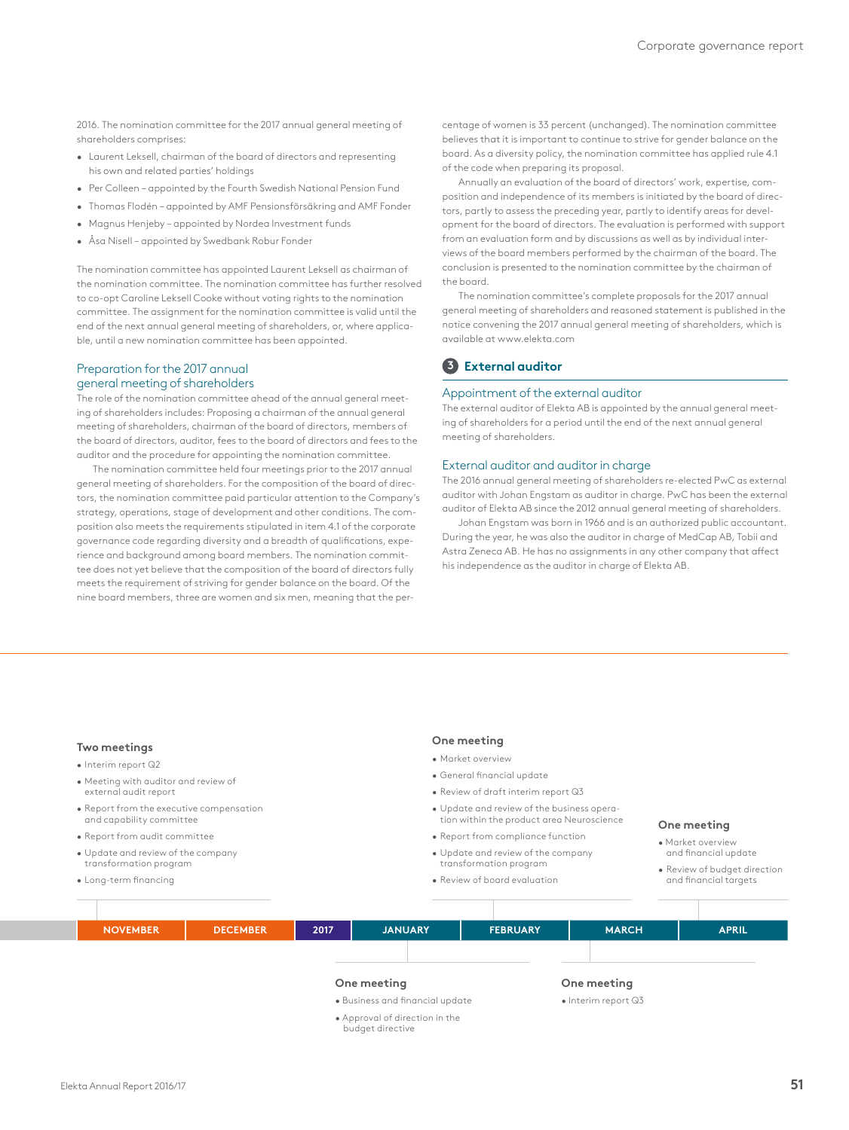2016. The nomination committee for the 2017 annual general meeting of shareholders comprises:

- Laurent Leksell, chairman of the board of directors and representing his own and related parties' holdings
- Per Colleen appointed by the Fourth Swedish National Pension Fund
- Thomas Flodén appointed by AMF Pensionsförsäkring and AMF Fonder
- Magnus Henjeby appointed by Nordea Investment funds
- Åsa Nisell appointed by Swedbank Robur Fonder

The nomination committee has appointed Laurent Leksell as chairman of the nomination committee. The nomination committee has further resolved to co-opt Caroline Leksell Cooke without voting rights to the nomination committee. The assignment for the nomination committee is valid until the end of the next annual general meeting of shareholders, or, where applicable, until a new nomination committee has been appointed.

# Preparation for the 2017 annual general meeting of shareholders

The role of the nomination committee ahead of the annual general meeting of shareholders includes: Proposing a chairman of the annual general meeting of shareholders, chairman of the board of directors, members of the board of directors, auditor, fees to the board of directors and fees to the auditor and the procedure for appointing the nomination committee.

The nomination committee held four meetings prior to the 2017 annual general meeting of shareholders. For the composition of the board of directors, the nomination committee paid particular attention to the Company's strategy, operations, stage of development and other conditions. The composition also meets the requirements stipulated in item 4.1 of the corporate governance code regarding diversity and a breadth of qualifications, experience and background among board members. The nomination committee does not yet believe that the composition of the board of directors fully meets the requirement of striving for gender balance on the board. Of the nine board members, three are women and six men, meaning that the percentage of women is 33 percent (unchanged). The nomination committee believes that it is important to continue to strive for gender balance on the board. As a diversity policy, the nomination committee has applied rule 4.1 of the code when preparing its proposal.

Annually an evaluation of the board of directors' work, expertise, composition and independence of its members is initiated by the board of directors, partly to assess the preceding year, partly to identify areas for development for the board of directors. The evaluation is performed with support from an evaluation form and by discussions as well as by individual interviews of the board members performed by the chairman of the board. The conclusion is presented to the nomination committee by the chairman of the board.

The nomination committee's complete proposals for the 2017 annual general meeting of shareholders and reasoned statement is published in the notice convening the 2017 annual general meeting of shareholders, which is available at www.elekta.com

# **3 External auditor**

# Appointment of the external auditor

The external auditor of Elekta AB is appointed by the annual general meeting of shareholders for a period until the end of the next annual general meeting of shareholders.

# External auditor and auditor in charge

The 2016 annual general meeting of shareholders re-elected PwC as external auditor with Johan Engstam as auditor in charge. PwC has been the external auditor of Elekta AB since the 2012 annual general meeting of shareholders.

Johan Engstam was born in 1966 and is an authorized public accountant. During the year, he was also the auditor in charge of MedCap AB, Tobii and Astra Zeneca AB. He has no assignments in any other company that affect his independence as the auditor in charge of Elekta AB.

# **Two meetings**

- Interim report Q2
- Meeting with auditor and review of external audit report
- Report from the executive compensation and capability committee
- Report from audit committee
- Update and review of the company transformation program
- Long-term financing

#### **One meeting**

- Market overview
- General financial update
- Review of draft interim report Q3
- Update and review of the business operation within the product area Neuroscience
- Report from compliance function
- Update and review of the company transformation program
- Review of board evaluation

#### **One meeting**

- Market overview and financial update
- Review of budget direction and financial targets



# • Business and financial update

• Approval of direction in the budget directive

# • Interim report Q3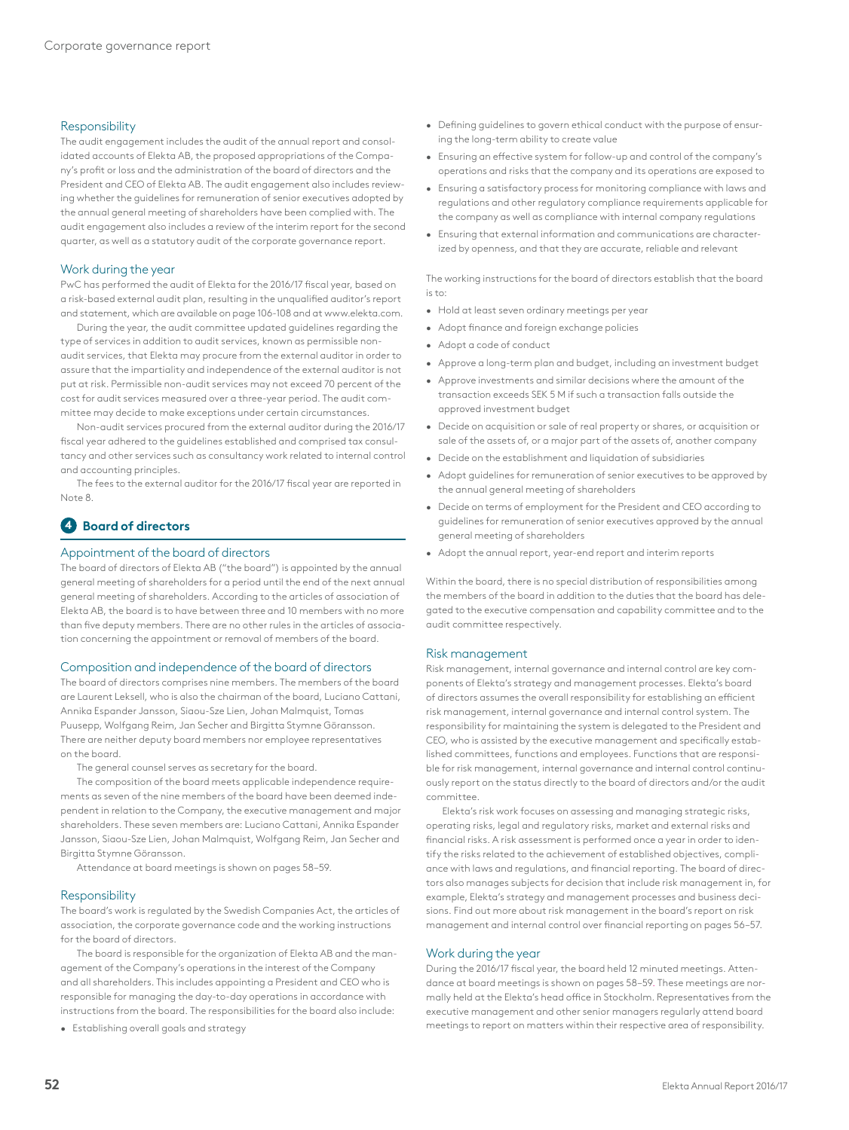# Responsibility

The audit engagement includes the audit of the annual report and consolidated accounts of Elekta AB, the proposed appropriations of the Company's profit or loss and the administration of the board of directors and the President and CEO of Elekta AB. The audit engagement also includes reviewing whether the guidelines for remuneration of senior executives adopted by the annual general meeting of shareholders have been complied with. The audit engagement also includes a review of the interim report for the second quarter, as well as a statutory audit of the corporate governance report.

### Work during the year

PwC has performed the audit of Elekta for the 2016/17 fiscal year, based on a risk-based external audit plan, resulting in the unqualified auditor's report and statement, which are available on page 106-108 and at www.elekta.com.

During the year, the audit committee updated guidelines regarding the type of services in addition to audit services, known as permissible nonaudit services, that Elekta may procure from the external auditor in order to assure that the impartiality and independence of the external auditor is not put at risk. Permissible non-audit services may not exceed 70 percent of the cost for audit services measured over a three-year period. The audit committee may decide to make exceptions under certain circumstances.

Non-audit services procured from the external auditor during the 2016/17 fiscal year adhered to the guidelines established and comprised tax consultancy and other services such as consultancy work related to internal control and accounting principles.

The fees to the external auditor for the 2016/17 fiscal year are reported in Note 8.

# **4 Board of directors**

### Appointment of the board of directors

The board of directors of Elekta AB ("the board") is appointed by the annual general meeting of shareholders for a period until the end of the next annual general meeting of shareholders. According to the articles of association of Elekta AB, the board is to have between three and 10 members with no more than five deputy members. There are no other rules in the articles of association concerning the appointment or removal of members of the board.

### Composition and independence of the board of directors

The board of directors comprises nine members. The members of the board are Laurent Leksell, who is also the chairman of the board, Luciano Cattani, Annika Espander Jansson, Siaou-Sze Lien, Johan Malmquist, Tomas Puusepp, Wolfgang Reim, Jan Secher and Birgitta Stymne Göransson. There are neither deputy board members nor employee representatives on the board.

The general counsel serves as secretary for the board.

The composition of the board meets applicable independence requirements as seven of the nine members of the board have been deemed independent in relation to the Company, the executive management and major shareholders. These seven members are: Luciano Cattani, Annika Espander Jansson, Siaou-Sze Lien, Johan Malmquist, Wolfgang Reim, Jan Secher and Birgitta Stymne Göransson.

Attendance at board meetings is shown on pages 58–59.

#### Responsibility

The board's work is regulated by the Swedish Companies Act, the articles of association, the corporate governance code and the working instructions for the board of directors.

The board is responsible for the organization of Elekta AB and the management of the Company's operations in the interest of the Company and all shareholders. This includes appointing a President and CEO who is responsible for managing the day-to-day operations in accordance with instructions from the board. The responsibilities for the board also include:

• Establishing overall goals and strategy

- Defining guidelines to govern ethical conduct with the purpose of ensuring the long-term ability to create value
- Ensuring an effective system for follow-up and control of the company's operations and risks that the company and its operations are exposed to
- Ensuring a satisfactory process for monitoring compliance with laws and regulations and other regulatory compliance requirements applicable for the company as well as compliance with internal company regulations
- Ensuring that external information and communications are characterized by openness, and that they are accurate, reliable and relevant

The working instructions for the board of directors establish that the board is to:

- Hold at least seven ordinary meetings per year
- Adopt finance and foreign exchange policies
- Adopt a code of conduct
- Approve a long-term plan and budget, including an investment budget
- Approve investments and similar decisions where the amount of the transaction exceeds SEK 5 M if such a transaction falls outside the approved investment budget
- Decide on acquisition or sale of real property or shares, or acquisition or sale of the assets of, or a major part of the assets of, another company
- Decide on the establishment and liquidation of subsidiaries
- Adopt guidelines for remuneration of senior executives to be approved by the annual general meeting of shareholders
- Decide on terms of employment for the President and CEO according to guidelines for remuneration of senior executives approved by the annual general meeting of shareholders
- Adopt the annual report, year-end report and interim reports

Within the board, there is no special distribution of responsibilities among the members of the board in addition to the duties that the board has delegated to the executive compensation and capability committee and to the audit committee respectively.

### Risk management

Risk management, internal governance and internal control are key components of Elekta's strategy and management processes. Elekta's board of directors assumes the overall responsibility for establishing an efficient risk management, internal governance and internal control system. The responsibility for maintaining the system is delegated to the President and CEO, who is assisted by the executive management and specifically established committees, functions and employees. Functions that are responsible for risk management, internal governance and internal control continuously report on the status directly to the board of directors and/or the audit committee.

Elekta's risk work focuses on assessing and managing strategic risks, operating risks, legal and regulatory risks, market and external risks and financial risks. A risk assessment is performed once a year in order to identify the risks related to the achievement of established objectives, compliance with laws and regulations, and financial reporting. The board of directors also manages subjects for decision that include risk management in, for example, Elekta's strategy and management processes and business decisions. Find out more about risk management in the board's report on risk management and internal control over financial reporting on pages 56–57.

## Work during the year

During the 2016/17 fiscal year, the board held 12 minuted meetings. Attendance at board meetings is shown on pages 58–59. These meetings are normally held at the Elekta's head office in Stockholm. Representatives from the executive management and other senior managers regularly attend board meetings to report on matters within their respective area of responsibility.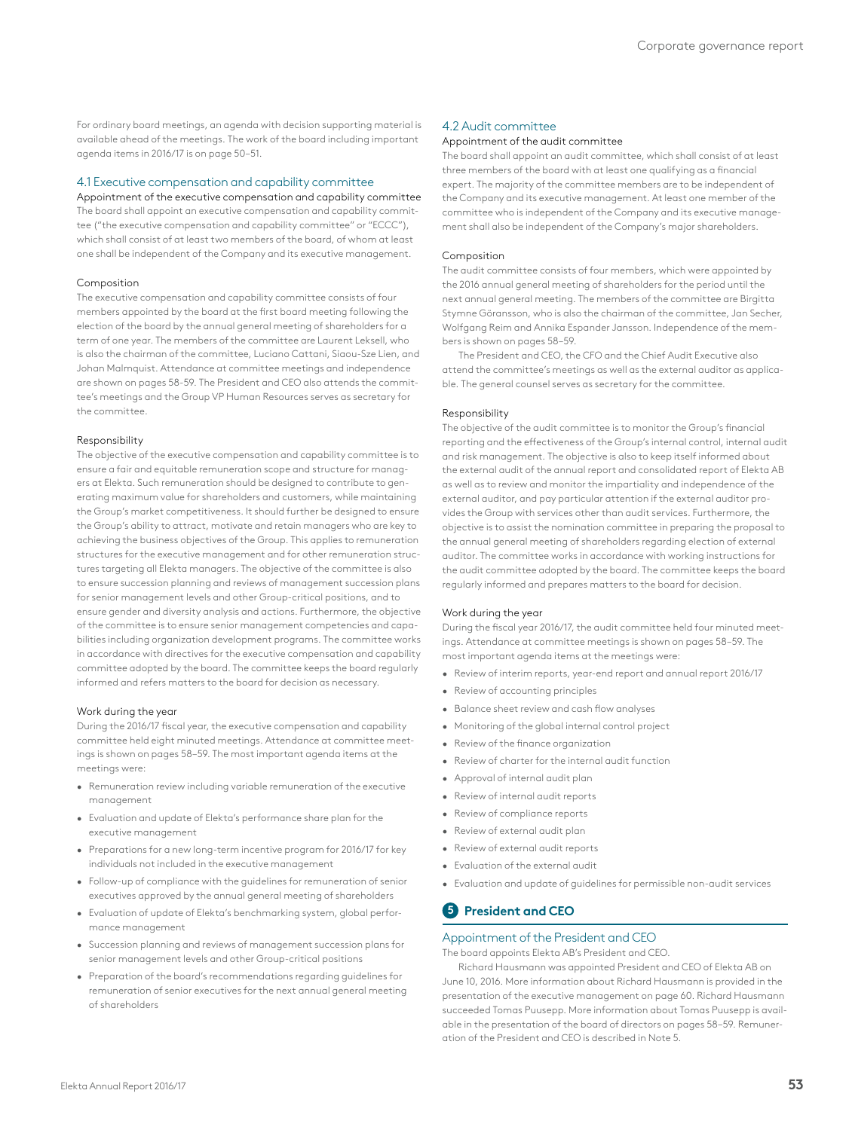For ordinary board meetings, an agenda with decision supporting material is available ahead of the meetings. The work of the board including important agenda items in 2016/17 is on page 50–51.

# 4.1 Executive compensation and capability committee

Appointment of the executive compensation and capability committee The board shall appoint an executive compensation and capability committee ("the executive compensation and capability committee" or "ECCC"), which shall consist of at least two members of the board, of whom at least one shall be independent of the Company and its executive management.

#### Composition

The executive compensation and capability committee consists of four members appointed by the board at the first board meeting following the election of the board by the annual general meeting of shareholders for a term of one year. The members of the committee are Laurent Leksell, who is also the chairman of the committee, Luciano Cattani, Siaou-Sze Lien, and Johan Malmquist. Attendance at committee meetings and independence are shown on pages 58-59. The President and CEO also attends the committee's meetings and the Group VP Human Resources serves as secretary for the committee.

#### Responsibility

The objective of the executive compensation and capability committee is to ensure a fair and equitable remuneration scope and structure for managers at Elekta. Such remuneration should be designed to contribute to generating maximum value for shareholders and customers, while maintaining the Group's market competitiveness. It should further be designed to ensure the Group's ability to attract, motivate and retain managers who are key to achieving the business objectives of the Group. This applies to remuneration structures for the executive management and for other remuneration structures targeting all Elekta managers. The objective of the committee is also to ensure succession planning and reviews of management succession plans for senior management levels and other Group-critical positions, and to ensure gender and diversity analysis and actions. Furthermore, the objective of the committee is to ensure senior management competencies and capabilities including organization development programs. The committee works in accordance with directives for the executive compensation and capability committee adopted by the board. The committee keeps the board regularly informed and refers matters to the board for decision as necessary.

#### Work during the year

During the 2016/17 fiscal year, the executive compensation and capability committee held eight minuted meetings. Attendance at committee meetings is shown on pages 58–59. The most important agenda items at the meetings were:

- Remuneration review including variable remuneration of the executive management
- Evaluation and update of Elekta's performance share plan for the executive management
- Preparations for a new long-term incentive program for 2016/17 for key individuals not included in the executive management
- Follow-up of compliance with the guidelines for remuneration of senior executives approved by the annual general meeting of shareholders
- Evaluation of update of Elekta's benchmarking system, global performance management
- Succession planning and reviews of management succession plans for senior management levels and other Group-critical positions
- Preparation of the board's recommendations regarding guidelines for remuneration of senior executives for the next annual general meeting of shareholders

# 4.2 Audit committee

# Appointment of the audit committee

The board shall appoint an audit committee, which shall consist of at least three members of the board with at least one qualifying as a financial expert. The majority of the committee members are to be independent of the Company and its executive management. At least one member of the committee who is independent of the Company and its executive management shall also be independent of the Company's major shareholders.

### Composition

The audit committee consists of four members, which were appointed by the 2016 annual general meeting of shareholders for the period until the next annual general meeting. The members of the committee are Birgitta Stymne Göransson, who is also the chairman of the committee, Jan Secher, Wolfgang Reim and Annika Espander Jansson. Independence of the members is shown on pages 58–59.

The President and CEO, the CFO and the Chief Audit Executive also attend the committee's meetings as well as the external auditor as applicable. The general counsel serves as secretary for the committee.

#### Responsibility

The objective of the audit committee is to monitor the Group's financial reporting and the effectiveness of the Group's internal control, internal audit and risk management. The objective is also to keep itself informed about the external audit of the annual report and consolidated report of Elekta AB as well as to review and monitor the impartiality and independence of the external auditor, and pay particular attention if the external auditor provides the Group with services other than audit services. Furthermore, the objective is to assist the nomination committee in preparing the proposal to the annual general meeting of shareholders regarding election of external auditor. The committee works in accordance with working instructions for the audit committee adopted by the board. The committee keeps the board regularly informed and prepares matters to the board for decision.

#### Work during the year

During the fiscal year 2016/17, the audit committee held four minuted meetings. Attendance at committee meetings is shown on pages 58–59. The most important agenda items at the meetings were:

- Review of interim reports, year-end report and annual report 2016/17
- Review of accounting principles
- Balance sheet review and cash flow analyses
- Monitoring of the global internal control project
- Review of the finance organization
- Review of charter for the internal audit function
- Approval of internal audit plan
- Review of internal audit reports
- Review of compliance reports
- Review of external audit plan
- Review of external audit reports
- Evaluation of the external audit
- Evaluation and update of guidelines for permissible non-audit services

# **5 President and CEO**

# Appointment of the President and CEO

The board appoints Elekta AB's President and CEO.

Richard Hausmann was appointed President and CEO of Elekta AB on June 10, 2016. More information about Richard Hausmann is provided in the presentation of the executive management on page 60. Richard Hausmann succeeded Tomas Puusepp. More information about Tomas Puusepp is available in the presentation of the board of directors on pages 58–59. Remuneration of the President and CEO is described in Note 5.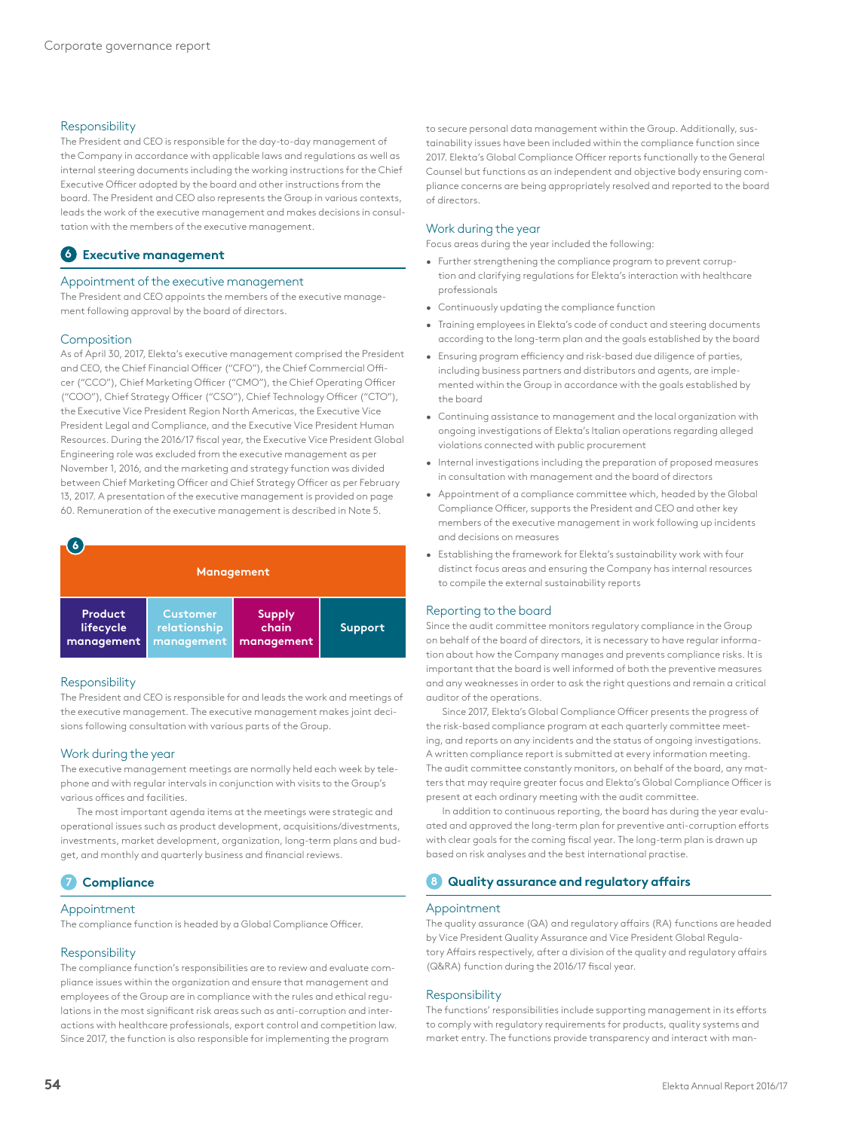# Responsibility

The President and CEO is responsible for the day-to-day management of the Company in accordance with applicable laws and regulations as well as internal steering documents including the working instructions for the Chief Executive Officer adopted by the board and other instructions from the board. The President and CEO also represents the Group in various contexts, leads the work of the executive management and makes decisions in consultation with the members of the executive management.

# **6 Executive management**

## Appointment of the executive management

The President and CEO appoints the members of the executive management following approval by the board of directors.

#### Composition

As of April 30, 2017, Elekta's executive management comprised the President and CEO, the Chief Financial Officer ("CFO"), the Chief Commercial Officer ("CCO"), Chief Marketing Officer ("CMO"), the Chief Operating Officer ("COO"), Chief Strategy Officer ("CSO"), Chief Technology Officer ("CTO"), the Executive Vice President Region North Americas, the Executive Vice President Legal and Compliance, and the Executive Vice President Human Resources. During the 2016/17 fiscal year, the Executive Vice President Global Engineering role was excluded from the executive management as per November 1, 2016, and the marketing and strategy function was divided between Chief Marketing Officer and Chief Strategy Officer as per February 13, 2017. A presentation of the executive management is provided on page 60. Remuneration of the executive management is described in Note 5.

| Management |                 |               |                |  |  |  |  |  |
|------------|-----------------|---------------|----------------|--|--|--|--|--|
| Product    | <b>Customer</b> | <b>Supply</b> | <b>Support</b> |  |  |  |  |  |
| lifecycle  | relationship    | chain         |                |  |  |  |  |  |
| management | management      | management    |                |  |  |  |  |  |

### Responsibility

The President and CEO is responsible for and leads the work and meetings of the executive management. The executive management makes joint decisions following consultation with various parts of the Group.

# Work during the year

The executive management meetings are normally held each week by telephone and with regular intervals in conjunction with visits to the Group's various offices and facilities.

The most important agenda items at the meetings were strategic and operational issues such as product development, acquisitions/divestments, investments, market development, organization, long-term plans and budget, and monthly and quarterly business and financial reviews.

# **7 Compliance**

#### Appointment

The compliance function is headed by a Global Compliance Officer.

#### Responsibility

The compliance function's responsibilities are to review and evaluate compliance issues within the organization and ensure that management and employees of the Group are in compliance with the rules and ethical regulations in the most significant risk areas such as anti-corruption and interactions with healthcare professionals, export control and competition law. Since 2017, the function is also responsible for implementing the program

to secure personal data management within the Group. Additionally, sustainability issues have been included within the compliance function since 2017. Elekta's Global Compliance Officer reports functionally to the General Counsel but functions as an independent and objective body ensuring compliance concerns are being appropriately resolved and reported to the board of directors.

### Work during the year

Focus areas during the year included the following:

- Further strengthening the compliance program to prevent corruption and clarifying regulations for Elekta's interaction with healthcare professionals
- Continuously updating the compliance function
- Training employees in Elekta's code of conduct and steering documents according to the long-term plan and the goals established by the board
- Ensuring program efficiency and risk-based due diligence of parties, including business partners and distributors and agents, are implemented within the Group in accordance with the goals established by the board
- Continuing assistance to management and the local organization with ongoing investigations of Elekta's Italian operations regarding alleged violations connected with public procurement
- Internal investigations including the preparation of proposed measures in consultation with management and the board of directors
- Appointment of a compliance committee which, headed by the Global Compliance Officer, supports the President and CEO and other key members of the executive management in work following up incidents and decisions on measures
- Establishing the framework for Elekta's sustainability work with four distinct focus areas and ensuring the Company has internal resources to compile the external sustainability reports

#### Reporting to the board

Since the audit committee monitors regulatory compliance in the Group on behalf of the board of directors, it is necessary to have regular information about how the Company manages and prevents compliance risks. It is important that the board is well informed of both the preventive measures and any weaknesses in order to ask the right questions and remain a critical auditor of the operations.

Since 2017, Elekta's Global Compliance Officer presents the progress of the risk-based compliance program at each quarterly committee meeting, and reports on any incidents and the status of ongoing investigations. A written compliance report is submitted at every information meeting. The audit committee constantly monitors, on behalf of the board, any matters that may require greater focus and Elekta's Global Compliance Officer is present at each ordinary meeting with the audit committee.

In addition to continuous reporting, the board has during the year evaluated and approved the long-term plan for preventive anti-corruption efforts with clear goals for the coming fiscal year. The long-term plan is drawn up based on risk analyses and the best international practise.

# **8 Quality assurance and regulatory affairs**

#### Appointment

The quality assurance (QA) and regulatory affairs (RA) functions are headed by Vice President Quality Assurance and Vice President Global Regulatory Affairs respectively, after a division of the quality and regulatory affairs (Q&RA) function during the 2016/17 fiscal year.

# Responsibility

The functions' responsibilities include supporting management in its efforts to comply with regulatory requirements for products, quality systems and market entry. The functions provide transparency and interact with man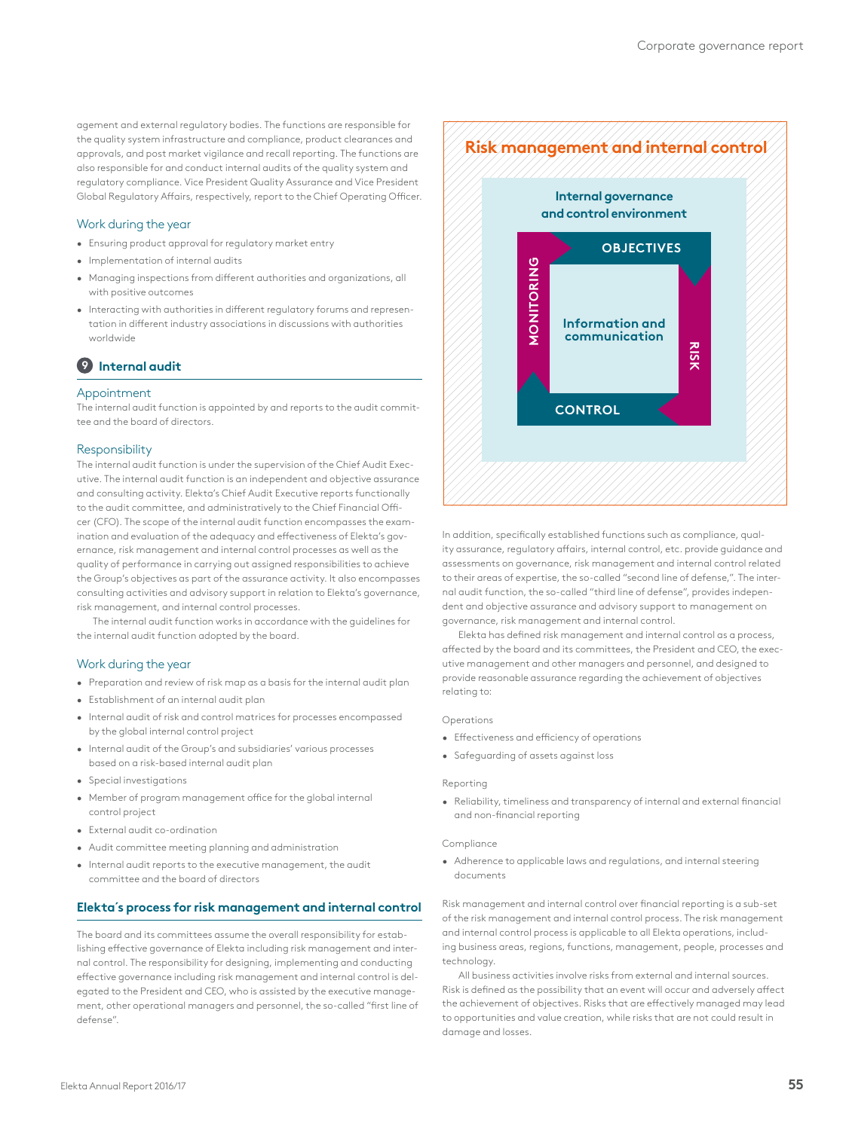agement and external regulatory bodies. The functions are responsible for the quality system infrastructure and compliance, product clearances and approvals, and post market vigilance and recall reporting. The functions are also responsible for and conduct internal audits of the quality system and regulatory compliance. Vice President Quality Assurance and Vice President Global Regulatory Affairs, respectively, report to the Chief Operating Officer.

# Work during the year

- Ensuring product approval for regulatory market entry
- Implementation of internal audits
- Managing inspections from different authorities and organizations, all with positive outcomes
- Interacting with authorities in different regulatory forums and representation in different industry associations in discussions with authorities worldwide

# **9 Internal audit**

#### Appointment

The internal audit function is appointed by and reports to the audit committee and the board of directors.

## Responsibility

The internal audit function is under the supervision of the Chief Audit Executive. The internal audit function is an independent and objective assurance and consulting activity. Elekta's Chief Audit Executive reports functionally to the audit committee, and administratively to the Chief Financial Officer (CFO). The scope of the internal audit function encompasses the examination and evaluation of the adequacy and effectiveness of Elekta's governance, risk management and internal control processes as well as the quality of performance in carrying out assigned responsibilities to achieve the Group's objectives as part of the assurance activity. It also encompasses consulting activities and advisory support in relation to Elekta's governance, risk management, and internal control processes.

The internal audit function works in accordance with the guidelines for the internal audit function adopted by the board.

# Work during the year

- Preparation and review of risk map as a basis for the internal audit plan
- Establishment of an internal audit plan
- Internal audit of risk and control matrices for processes encompassed by the global internal control project
- Internal audit of the Group's and subsidiaries' various processes based on a risk-based internal audit plan
- Special investigations
- Member of program management office for the global internal control project
- External audit co-ordination
- Audit committee meeting planning and administration
- Internal audit reports to the executive management, the audit committee and the board of directors

## **Elekta´s process for risk management and internal control**

The board and its committees assume the overall responsibility for establishing effective governance of Elekta including risk management and internal control. The responsibility for designing, implementing and conducting effective governance including risk management and internal control is delegated to the President and CEO, who is assisted by the executive management, other operational managers and personnel, the so-called "first line of defense".



In addition, specifically established functions such as compliance, quality assurance, regulatory affairs, internal control, etc. provide guidance and assessments on governance, risk management and internal control related to their areas of expertise, the so-called "second line of defense,". The internal audit function, the so-called "third line of defense", provides independent and objective assurance and advisory support to management on governance, risk management and internal control.

Elekta has defined risk management and internal control as a process, affected by the board and its committees, the President and CEO, the executive management and other managers and personnel, and designed to provide reasonable assurance regarding the achievement of objectives relating to:

#### Operations

- Effectiveness and efficiency of operations
- Safeguarding of assets against loss

# Reporting

• Reliability, timeliness and transparency of internal and external financial and non-financial reporting

#### Compliance

• Adherence to applicable laws and regulations, and internal steering documents

Risk management and internal control over financial reporting is a sub-set of the risk management and internal control process. The risk management and internal control process is applicable to all Elekta operations, including business areas, regions, functions, management, people, processes and technology.

All business activities involve risks from external and internal sources. Risk is defined as the possibility that an event will occur and adversely affect the achievement of objectives. Risks that are effectively managed may lead to opportunities and value creation, while risks that are not could result in damage and losses.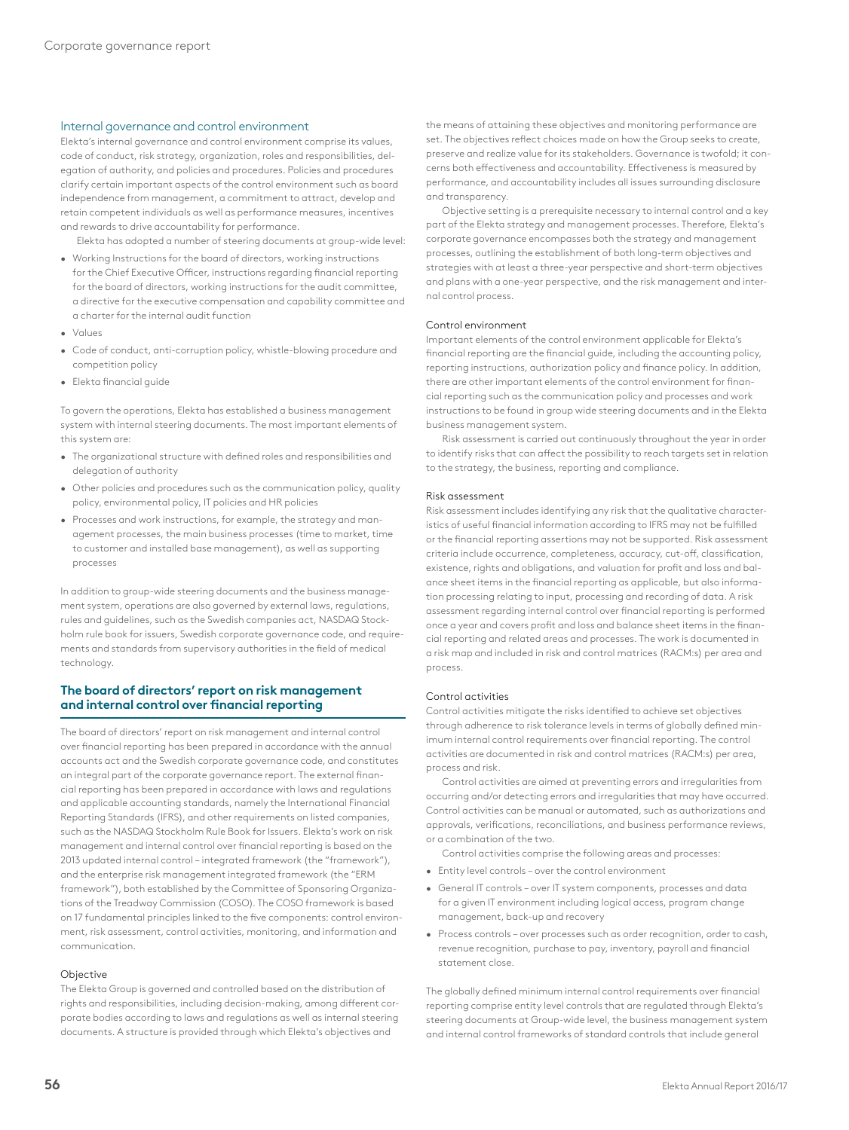#### Internal governance and control environment

Elekta's internal governance and control environment comprise its values, code of conduct, risk strategy, organization, roles and responsibilities, delegation of authority, and policies and procedures. Policies and procedures clarify certain important aspects of the control environment such as board independence from management, a commitment to attract, develop and retain competent individuals as well as performance measures, incentives and rewards to drive accountability for performance.

Elekta has adopted a number of steering documents at group-wide level:

- Working Instructions for the board of directors, working instructions for the Chief Executive Officer, instructions regarding financial reporting for the board of directors, working instructions for the audit committee, a directive for the executive compensation and capability committee and a charter for the internal audit function
- Values
- Code of conduct, anti-corruption policy, whistle-blowing procedure and competition policy
- Elekta financial guide

To govern the operations, Elekta has established a business management system with internal steering documents. The most important elements of this system are:

- The organizational structure with defined roles and responsibilities and delegation of authority
- Other policies and procedures such as the communication policy, quality policy, environmental policy, IT policies and HR policies
- Processes and work instructions, for example, the strategy and management processes, the main business processes (time to market, time to customer and installed base management), as well as supporting processes

In addition to group-wide steering documents and the business management system, operations are also governed by external laws, regulations, rules and guidelines, such as the Swedish companies act, NASDAQ Stockholm rule book for issuers, Swedish corporate governance code, and requirements and standards from supervisory authorities in the field of medical technology.

# **The board of directors' report on risk management and internal control over financial reporting**

The board of directors' report on risk management and internal control over financial reporting has been prepared in accordance with the annual accounts act and the Swedish corporate governance code, and constitutes an integral part of the corporate governance report. The external financial reporting has been prepared in accordance with laws and regulations and applicable accounting standards, namely the International Financial Reporting Standards (IFRS), and other requirements on listed companies, such as the NASDAQ Stockholm Rule Book for Issuers. Elekta's work on risk management and internal control over financial reporting is based on the 2013 updated internal control – integrated framework (the "framework"), and the enterprise risk management integrated framework (the "ERM framework"), both established by the Committee of Sponsoring Organizations of the Treadway Commission (COSO). The COSO framework is based on 17 fundamental principles linked to the five components: control environment, risk assessment, control activities, monitoring, and information and communication.

# Objective

The Elekta Group is governed and controlled based on the distribution of rights and responsibilities, including decision-making, among different corporate bodies according to laws and regulations as well as internal steering documents. A structure is provided through which Elekta's objectives and

the means of attaining these objectives and monitoring performance are set. The objectives reflect choices made on how the Group seeks to create, preserve and realize value for its stakeholders. Governance is twofold; it concerns both effectiveness and accountability. Effectiveness is measured by performance, and accountability includes all issues surrounding disclosure and transparency.

Objective setting is a prerequisite necessary to internal control and a key part of the Elekta strategy and management processes. Therefore, Elekta's corporate governance encompasses both the strategy and management processes, outlining the establishment of both long-term objectives and strategies with at least a three-year perspective and short-term objectives and plans with a one-year perspective, and the risk management and internal control process.

#### Control environment

Important elements of the control environment applicable for Elekta's financial reporting are the financial guide, including the accounting policy, reporting instructions, authorization policy and finance policy. In addition, there are other important elements of the control environment for financial reporting such as the communication policy and processes and work instructions to be found in group wide steering documents and in the Elekta business management system.

Risk assessment is carried out continuously throughout the year in order to identify risks that can affect the possibility to reach targets set in relation to the strategy, the business, reporting and compliance.

#### Risk assessment

Risk assessment includes identifying any risk that the qualitative characteristics of useful financial information according to IFRS may not be fulfilled or the financial reporting assertions may not be supported. Risk assessment criteria include occurrence, completeness, accuracy, cut-off, classification, existence, rights and obligations, and valuation for profit and loss and balance sheet items in the financial reporting as applicable, but also information processing relating to input, processing and recording of data. A risk assessment regarding internal control over financial reporting is performed once a year and covers profit and loss and balance sheet items in the financial reporting and related areas and processes. The work is documented in a risk map and included in risk and control matrices (RACM:s) per area and process.

#### Control activities

Control activities mitigate the risks identified to achieve set objectives through adherence to risk tolerance levels in terms of globally defined minimum internal control requirements over financial reporting. The control activities are documented in risk and control matrices (RACM:s) per area, process and risk.

Control activities are aimed at preventing errors and irregularities from occurring and/or detecting errors and irregularities that may have occurred. Control activities can be manual or automated, such as authorizations and approvals, verifications, reconciliations, and business performance reviews, or a combination of the two.

Control activities comprise the following areas and processes:

- Entity level controls over the control environment
- General IT controls over IT system components, processes and data for a given IT environment including logical access, program change management, back-up and recovery
- Process controls over processes such as order recognition, order to cash, revenue recognition, purchase to pay, inventory, payroll and financial statement close.

The globally defined minimum internal control requirements over financial reporting comprise entity level controls that are regulated through Elekta's steering documents at Group-wide level, the business management system and internal control frameworks of standard controls that include general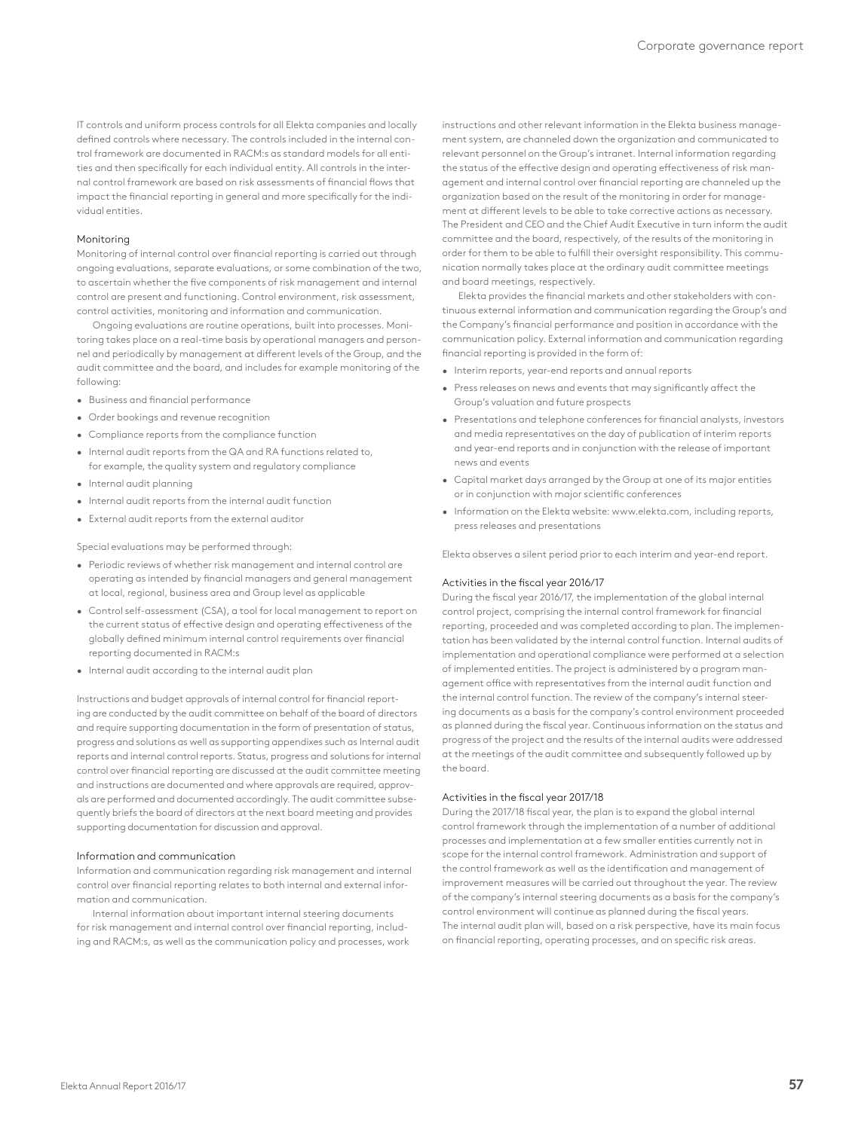IT controls and uniform process controls for all Elekta companies and locally defined controls where necessary. The controls included in the internal control framework are documented in RACM:s as standard models for all entities and then specifically for each individual entity. All controls in the internal control framework are based on risk assessments of financial flows that impact the financial reporting in general and more specifically for the individual entities.

#### Monitoring

Monitoring of internal control over financial reporting is carried out through ongoing evaluations, separate evaluations, or some combination of the two, to ascertain whether the five components of risk management and internal control are present and functioning. Control environment, risk assessment, control activities, monitoring and information and communication.

Ongoing evaluations are routine operations, built into processes. Monitoring takes place on a real-time basis by operational managers and personnel and periodically by management at different levels of the Group, and the audit committee and the board, and includes for example monitoring of the following:

- Business and financial performance
- Order bookings and revenue recognition
- Compliance reports from the compliance function
- Internal audit reports from the QA and RA functions related to, for example, the quality system and regulatory compliance
- Internal audit planning
- Internal audit reports from the internal audit function
- External audit reports from the external auditor

Special evaluations may be performed through:

- Periodic reviews of whether risk management and internal control are operating as intended by financial managers and general management at local, regional, business area and Group level as applicable
- Control self-assessment (CSA), a tool for local management to report on the current status of effective design and operating effectiveness of the globally defined minimum internal control requirements over financial reporting documented in RACM:s
- Internal audit according to the internal audit plan

Instructions and budget approvals of internal control for financial reporting are conducted by the audit committee on behalf of the board of directors and require supporting documentation in the form of presentation of status, progress and solutions as well as supporting appendixes such as Internal audit reports and internal control reports. Status, progress and solutions for internal control over financial reporting are discussed at the audit committee meeting and instructions are documented and where approvals are required, approvals are performed and documented accordingly. The audit committee subsequently briefs the board of directors at the next board meeting and provides supporting documentation for discussion and approval.

# Information and communication

Information and communication regarding risk management and internal control over financial reporting relates to both internal and external information and communication.

Internal information about important internal steering documents for risk management and internal control over financial reporting, including and RACM:s, as well as the communication policy and processes, work instructions and other relevant information in the Elekta business management system, are channeled down the organization and communicated to relevant personnel on the Group's intranet. Internal information regarding the status of the effective design and operating effectiveness of risk management and internal control over financial reporting are channeled up the organization based on the result of the monitoring in order for management at different levels to be able to take corrective actions as necessary. The President and CEO and the Chief Audit Executive in turn inform the audit committee and the board, respectively, of the results of the monitoring in order for them to be able to fulfill their oversight responsibility. This communication normally takes place at the ordinary audit committee meetings and board meetings, respectively.

Elekta provides the financial markets and other stakeholders with continuous external information and communication regarding the Group's and the Company's financial performance and position in accordance with the communication policy. External information and communication regarding financial reporting is provided in the form of:

- Interim reports, year-end reports and annual reports
- Press releases on news and events that may significantly affect the Group's valuation and future prospects
- Presentations and telephone conferences for financial analysts, investors and media representatives on the day of publication of interim reports and year-end reports and in conjunction with the release of important news and events
- Capital market days arranged by the Group at one of its major entities or in conjunction with major scientific conferences
- Information on the Elekta website: www.elekta.com, including reports, press releases and presentations

Elekta observes a silent period prior to each interim and year-end report.

#### Activities in the fiscal year 2016/17

During the fiscal year 2016/17, the implementation of the global internal control project, comprising the internal control framework for financial reporting, proceeded and was completed according to plan. The implementation has been validated by the internal control function. Internal audits of implementation and operational compliance were performed at a selection of implemented entities. The project is administered by a program management office with representatives from the internal audit function and the internal control function. The review of the company's internal steering documents as a basis for the company's control environment proceeded as planned during the fiscal year. Continuous information on the status and progress of the project and the results of the internal audits were addressed at the meetings of the audit committee and subsequently followed up by the board.

#### Activities in the fiscal year 2017/18

During the 2017/18 fiscal year, the plan is to expand the global internal control framework through the implementation of a number of additional processes and implementation at a few smaller entities currently not in scope for the internal control framework. Administration and support of the control framework as well as the identification and management of improvement measures will be carried out throughout the year. The review of the company's internal steering documents as a basis for the company's control environment will continue as planned during the fiscal years. The internal audit plan will, based on a risk perspective, have its main focus on financial reporting, operating processes, and on specific risk areas.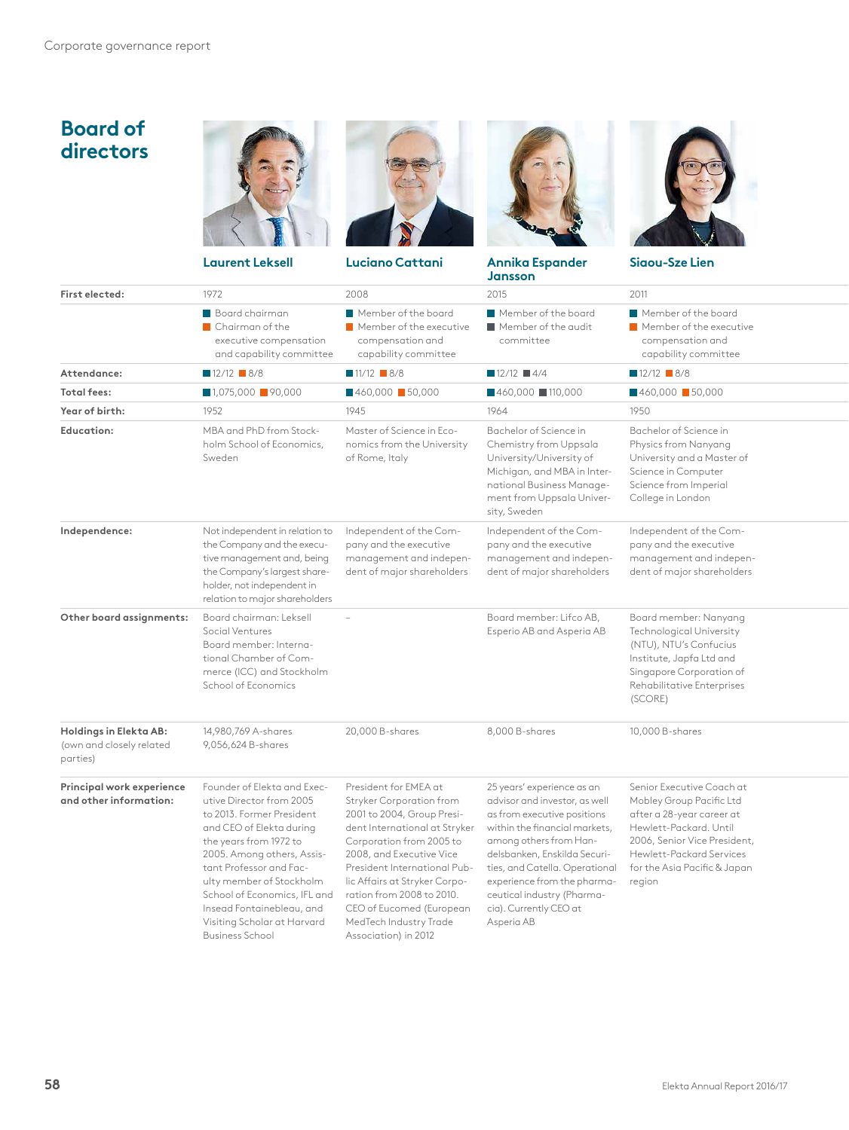# **Board of directors**







**Laurent Leksell Luciano Cattani Annika Espander** 



**Siaou-Sze Lien Johan Malmquist Tomas Puusepp**1) **Wolfgang Reim Jan Secher Birgitta Stymne** 

|                                                                |                                                                                                                                                                                                                                                                                                                                                       |                                                                                                                                                                                                                                                                                                                                                      | Jansson                                                                                                                                                                                                                                                                                                                      |                                                                                                                                                                                                                    |
|----------------------------------------------------------------|-------------------------------------------------------------------------------------------------------------------------------------------------------------------------------------------------------------------------------------------------------------------------------------------------------------------------------------------------------|------------------------------------------------------------------------------------------------------------------------------------------------------------------------------------------------------------------------------------------------------------------------------------------------------------------------------------------------------|------------------------------------------------------------------------------------------------------------------------------------------------------------------------------------------------------------------------------------------------------------------------------------------------------------------------------|--------------------------------------------------------------------------------------------------------------------------------------------------------------------------------------------------------------------|
| First elected:                                                 | 1972                                                                                                                                                                                                                                                                                                                                                  | 2008                                                                                                                                                                                                                                                                                                                                                 | 2015                                                                                                                                                                                                                                                                                                                         | 2011                                                                                                                                                                                                               |
|                                                                | Board chairman<br>Chairman of the<br>executive compensation<br>and capability committee                                                                                                                                                                                                                                                               | Member of the board<br>Member of the executive<br>compensation and<br>capability committee                                                                                                                                                                                                                                                           | Member of the board<br>Member of the audit<br>committee                                                                                                                                                                                                                                                                      | Member of the board<br>Member of the executive<br>compensation and<br>capability committee                                                                                                                         |
| Attendance:                                                    | $12/12$ $8/8$                                                                                                                                                                                                                                                                                                                                         | $11/12$ $8/8$                                                                                                                                                                                                                                                                                                                                        | $12/12$ 4/4                                                                                                                                                                                                                                                                                                                  | $12/12$ 8/8                                                                                                                                                                                                        |
| <b>Total fees:</b>                                             | 1.075.000 90.000                                                                                                                                                                                                                                                                                                                                      | 460.000 50.000                                                                                                                                                                                                                                                                                                                                       | 460,000 110,000                                                                                                                                                                                                                                                                                                              | 460.000 50.000                                                                                                                                                                                                     |
| Year of birth:                                                 | 1952                                                                                                                                                                                                                                                                                                                                                  | 1945                                                                                                                                                                                                                                                                                                                                                 | 1964                                                                                                                                                                                                                                                                                                                         | 1950                                                                                                                                                                                                               |
| Education:                                                     | MBA and PhD from Stock-<br>holm School of Economics,<br>Sweden                                                                                                                                                                                                                                                                                        | Master of Science in Eco-<br>nomics from the University<br>of Rome, Italy                                                                                                                                                                                                                                                                            | Bachelor of Science in<br>Chemistry from Uppsala<br>University/University of<br>Michigan, and MBA in Inter-<br>national Business Manage-<br>ment from Uppsala Univer-<br>sity, Sweden                                                                                                                                        | Bachelor of Science in<br>Physics from Nanyang<br>University and a Master of<br>Science in Computer<br>Science from Imperial<br>College in London                                                                  |
| Independence:                                                  | Not independent in relation to<br>the Company and the execu-<br>tive management and, being<br>the Company's largest share-<br>holder, not independent in<br>relation to major shareholders                                                                                                                                                            | Independent of the Com-<br>pany and the executive<br>management and indepen-<br>dent of major shareholders                                                                                                                                                                                                                                           | Independent of the Com-<br>pany and the executive<br>management and indepen-<br>dent of major shareholders                                                                                                                                                                                                                   | Independent of the Com-<br>pany and the executive<br>management and indepen-<br>dent of major shareholders                                                                                                         |
| Other board assignments:                                       | Board chairman: Leksell<br>Social Ventures<br>Board member: Interna-<br>tional Chamber of Com-<br>merce (ICC) and Stockholm<br>School of Economics                                                                                                                                                                                                    |                                                                                                                                                                                                                                                                                                                                                      | Board member: Lifco AB.<br>Esperio AB and Asperia AB                                                                                                                                                                                                                                                                         | Board member: Nanyang<br>Technological University<br>(NTU), NTU's Confucius<br>Institute, Japfa Ltd and<br>Singapore Corporation of<br>Rehabilitative Enterprises<br>(SCORE)                                       |
| Holdings in Elekta AB:<br>(own and closely related<br>parties) | 14,980,769 A-shares<br>9,056,624 B-shares                                                                                                                                                                                                                                                                                                             | 20,000 B-shares                                                                                                                                                                                                                                                                                                                                      | 8,000 B-shares                                                                                                                                                                                                                                                                                                               | 10,000 B-shares                                                                                                                                                                                                    |
| Principal work experience<br>and other information:            | Founder of Elekta and Exec-<br>utive Director from 2005<br>to 2013. Former President<br>and CEO of Elekta during<br>the years from 1972 to<br>2005. Among others, Assis-<br>tant Professor and Fac-<br>ulty member of Stockholm<br>School of Economics, IFL and<br>Insead Fontainebleau, and<br>Visiting Scholar at Harvard<br><b>Business School</b> | President for EMEA at<br>Stryker Corporation from<br>2001 to 2004, Group Presi-<br>dent International at Stryker<br>Corporation from 2005 to<br>2008, and Executive Vice<br>President International Pub-<br>lic Affairs at Stryker Corpo-<br>ration from 2008 to 2010.<br>CEO of Eucomed (European<br>MedTech Industry Trade<br>Association) in 2012 | 25 years' experience as an<br>advisor and investor, as well<br>as from executive positions<br>within the financial markets,<br>among others from Han-<br>delsbanken, Enskilda Securi-<br>ties, and Catella. Operational<br>experience from the pharma-<br>ceutical industry (Pharma-<br>cia). Currently CEO at<br>Asperia AB | Senior Executive Coach at<br>Mobley Group Pacific Ltd<br>after a 28-year career at<br>Hewlett-Packard. Until<br>2006, Senior Vice President,<br>Hewlett-Packard Services<br>for the Asia Pacific & Japan<br>region |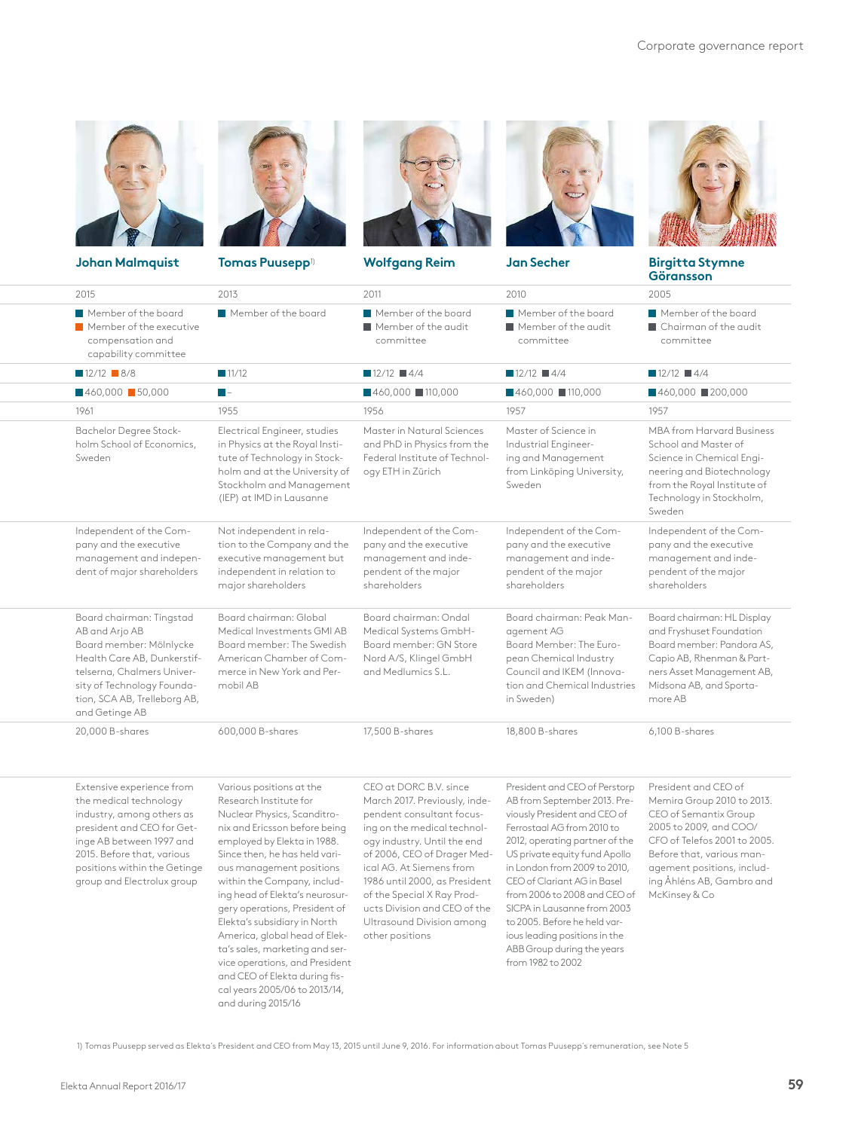







| <b>Johan Malmquist</b>                               | <b>Tomas Puusepp</b> 1)                                                                                                                                                                                                                                                                                                                                                                                                                                                                                                                                                                                                                                                                                   | <b>Wolfgang Reim</b>                                                                                                                                                                                                                                                                                                                                         | <b>Jan Secher</b>                                                                                                                                                                                                                                                                                                                                                                                                                                | <b>Birgitta Stymne</b><br><b>Göransson</b>                                                                                                                                                                                                     |
|------------------------------------------------------|-----------------------------------------------------------------------------------------------------------------------------------------------------------------------------------------------------------------------------------------------------------------------------------------------------------------------------------------------------------------------------------------------------------------------------------------------------------------------------------------------------------------------------------------------------------------------------------------------------------------------------------------------------------------------------------------------------------|--------------------------------------------------------------------------------------------------------------------------------------------------------------------------------------------------------------------------------------------------------------------------------------------------------------------------------------------------------------|--------------------------------------------------------------------------------------------------------------------------------------------------------------------------------------------------------------------------------------------------------------------------------------------------------------------------------------------------------------------------------------------------------------------------------------------------|------------------------------------------------------------------------------------------------------------------------------------------------------------------------------------------------------------------------------------------------|
| 2015                                                 | 2013                                                                                                                                                                                                                                                                                                                                                                                                                                                                                                                                                                                                                                                                                                      | 2011                                                                                                                                                                                                                                                                                                                                                         | 2010                                                                                                                                                                                                                                                                                                                                                                                                                                             | 2005                                                                                                                                                                                                                                           |
| Member of the board<br>compensation and              | Member of the board<br>Member of the executive<br>capability committee                                                                                                                                                                                                                                                                                                                                                                                                                                                                                                                                                                                                                                    | Member of the board<br>Member of the audit<br>committee                                                                                                                                                                                                                                                                                                      | Member of the board<br>Member of the audit<br>committee                                                                                                                                                                                                                                                                                                                                                                                          | Member of the board<br>■ Chairman of the audit<br>committee                                                                                                                                                                                    |
| $12/12$ $8/8$                                        | $\blacksquare$ 11/12                                                                                                                                                                                                                                                                                                                                                                                                                                                                                                                                                                                                                                                                                      | $12/12$ $4/4$                                                                                                                                                                                                                                                                                                                                                | $12/12$ $4/4$                                                                                                                                                                                                                                                                                                                                                                                                                                    | $12/12$ $4/4$                                                                                                                                                                                                                                  |
| $1460,000$ 50,000                                    | $\Box$ -                                                                                                                                                                                                                                                                                                                                                                                                                                                                                                                                                                                                                                                                                                  | ■460,000 ■110,000                                                                                                                                                                                                                                                                                                                                            | ■460,000 ■110,000                                                                                                                                                                                                                                                                                                                                                                                                                                | ■460,000 ■200,000                                                                                                                                                                                                                              |
| 1961                                                 | 1955                                                                                                                                                                                                                                                                                                                                                                                                                                                                                                                                                                                                                                                                                                      | 1956                                                                                                                                                                                                                                                                                                                                                         | 1957                                                                                                                                                                                                                                                                                                                                                                                                                                             | 1957                                                                                                                                                                                                                                           |
| <b>Bachelor Degree Stock-</b><br>Sweden              | Electrical Engineer, studies<br>holm School of Economics,<br>in Physics at the Royal Insti-<br>tute of Technology in Stock-<br>holm and at the University of<br>Stockholm and Management<br>(IEP) at IMD in Lausanne                                                                                                                                                                                                                                                                                                                                                                                                                                                                                      | Master in Natural Sciences<br>and PhD in Physics from the<br>Federal Institute of Technol-<br>ogy ETH in Zürich                                                                                                                                                                                                                                              | Master of Science in<br>Industrial Engineer-<br>ing and Management<br>from Linköping University,<br>Sweden                                                                                                                                                                                                                                                                                                                                       | <b>MBA from Harvard Business</b><br>School and Master of<br>Science in Chemical Engi-<br>neering and Biotechnology<br>from the Royal Institute of<br>Technology in Stockholm,<br>Sweden                                                        |
| Independent of the Com-<br>pany and the executive    | Not independent in rela-<br>tion to the Company and the<br>management and indepen-<br>executive management but<br>dent of major shareholders<br>independent in relation to<br>major shareholders                                                                                                                                                                                                                                                                                                                                                                                                                                                                                                          | Independent of the Com-<br>pany and the executive<br>management and inde-<br>pendent of the major<br>shareholders                                                                                                                                                                                                                                            | Independent of the Com-<br>pany and the executive<br>management and inde-<br>pendent of the major<br>shareholders                                                                                                                                                                                                                                                                                                                                | Independent of the Com-<br>pany and the executive<br>management and inde-<br>pendent of the major<br>shareholders                                                                                                                              |
| AB and Arjo AB<br>and Getinge AB                     | Board chairman: Global<br>Board chairman: Tingstad<br>Medical Investments GMI AB<br>Board member: Mölnlycke<br>Board member: The Swedish<br>American Chamber of Com-<br>Health Care AB, Dunkerstif-<br>telserna, Chalmers Univer-<br>merce in New York and Per-<br>sity of Technology Founda-<br>mobil AB<br>tion, SCA AB, Trelleborg AB,                                                                                                                                                                                                                                                                                                                                                                 | Board chairman: Ondal<br>Medical Systems GmbH-<br>Board member: GN Store<br>Nord A/S, Klingel GmbH<br>and Medlumics S.L.                                                                                                                                                                                                                                     | Board chairman: Peak Man-<br>agement AG<br>Board Member: The Euro-<br>pean Chemical Industry<br>Council and IKEM (Innova-<br>tion and Chemical Industries<br>in Sweden)                                                                                                                                                                                                                                                                          | Board chairman: HL Display<br>and Fryshuset Foundation<br>Board member: Pandora AS,<br>Capio AB, Rhenman & Part-<br>ners Asset Management AB,<br>Midsona AB, and Sporta-<br>more AB                                                            |
| 20,000 B-shares                                      | 600,000 B-shares                                                                                                                                                                                                                                                                                                                                                                                                                                                                                                                                                                                                                                                                                          | 17,500 B-shares                                                                                                                                                                                                                                                                                                                                              | 18,800 B-shares                                                                                                                                                                                                                                                                                                                                                                                                                                  | 6,100 B-shares                                                                                                                                                                                                                                 |
| the medical technology<br>2015. Before that, various | Various positions at the<br>Extensive experience from<br>Research Institute for<br>Nuclear Physics, Scanditro-<br>industry, among others as<br>president and CEO for Get-<br>nix and Ericsson before being<br>inge AB between 1997 and<br>employed by Elekta in 1988.<br>Since then, he has held vari-<br>positions within the Getinge<br>ous management positions<br>group and Electrolux group<br>within the Company, includ-<br>ing head of Elekta's neurosur-<br>gery operations, President of<br>Elekta's subsidiary in North<br>America, global head of Elek-<br>ta's sales, marketing and ser-<br>vice operations, and President<br>and CEO of Elekta during fis-<br>cal years 2005/06 to 2013/14, | CEO at DORC B.V. since<br>March 2017. Previously, inde-<br>pendent consultant focus-<br>ing on the medical technol-<br>ogy industry. Until the end<br>of 2006, CEO of Drager Med-<br>ical AG. At Siemens from<br>1986 until 2000, as President<br>of the Special X Ray Prod-<br>ucts Division and CEO of the<br>Ultrasound Division among<br>other positions | President and CEO of Perstorp<br>AB from September 2013. Pre-<br>viously President and CEO of<br>Ferrostaal AG from 2010 to<br>2012, operating partner of the<br>US private equity fund Apollo<br>in London from 2009 to 2010,<br>CEO of Clariant AG in Basel<br>from 2006 to 2008 and CEO of<br>SICPA in Lausanne from 2003<br>to 2005. Before he held var-<br>ious leading positions in the<br>ABB Group during the years<br>from 1982 to 2002 | President and CEO of<br>Memira Group 2010 to 2013.<br>CEO of Semantix Group<br>2005 to 2009, and COO/<br>CFO of Telefos 2001 to 2005.<br>Before that, various man-<br>agement positions, includ-<br>ing Åhléns AB, Gambro and<br>McKinsey & Co |

1) Tomas Puusepp served as Elekta´s President and CEO from May 13, 2015 until June 9, 2016. For information about Tomas Puusepp´s remuneration, see Note 5

and during 2015/16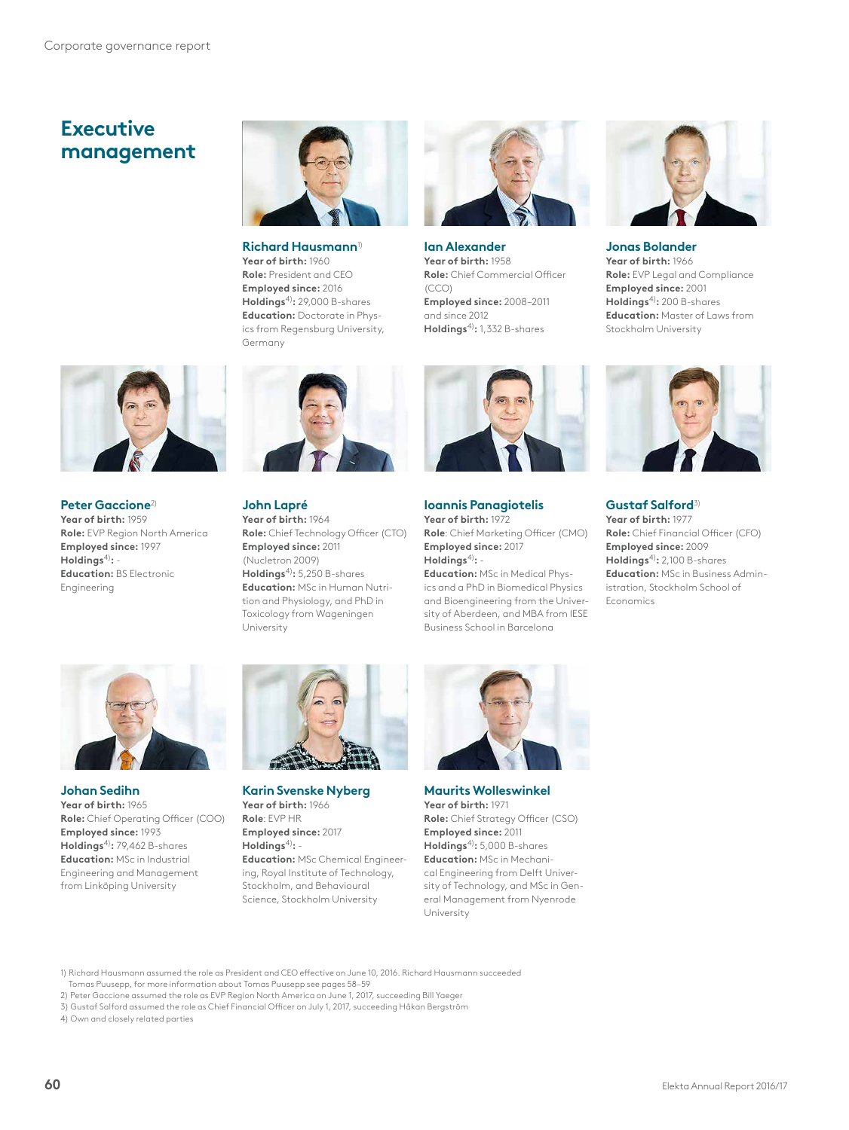# **Executive management**



**Richard Hausmann**1) **Year of birth:** 1960 **Role:** President and CEO **Employed since:** 2016 **Holdings**4)**:** 29,000 B-shares **Education:** Doctorate in Physics from Regensburg University, Germany



**Ian Alexander Year of birth:** 1958 **Role:** Chief Commercial Officer  $(CCO)$ **Employed since:** 2008–2011 and since 2012 **Holdings**4)**:** 1,332 B-shares



**Jonas Bolander Year of birth:** 1966 **Role:** EVP Legal and Compliance **Employed since:** 2001 **Holdings**4)**:** 200 B-shares **Education:** Master of Laws from Stockholm University



**Peter Gaccione**2) **Year of birth:** 1959 **Role:** EVP Region North America **Employed since:** 1997 **Holdings**4)**:** - **Education:** BS Electronic Engineering



**John Lapré Year of birth:** 1964 **Role:** Chief Technology Officer (CTO) **Employed since:** 2011 (Nucletron 2009) **Holdings**4)**:** 5,250 B-shares **Education:** MSc in Human Nutrition and Physiology, and PhD in Toxicology from Wageningen University



**Ioannis Panagiotelis Year of birth:** 1972 **Role**: Chief Marketing Officer (CMO) **Employed since:** 2017 **Holdings**4)**:** -

**Education:** MSc in Medical Physics and a PhD in Biomedical Physics and Bioengineering from the University of Aberdeen, and MBA from IESE Business School in Barcelona



**Gustaf Salford**3) **Year of birth:** 1977 **Role:** Chief Financial Officer (CFO) **Employed since:** 2009 **Holdings**4)**:** 2,100 B-shares **Education:** MSc in Business Administration, Stockholm School of Economics



**Johan Sedihn Year of birth:** 1965 **Role:** Chief Operating Officer (COO) **Employed since:** 1993 **Holdings**4)**:** 79,462 B-shares **Education:** MSc in Industrial Engineering and Management from Linköping University



**Karin Svenske Nyberg Year of birth:** 1966 **Role**: EVP HR **Employed since:** 2017 **Holdings**4)**:** - **Education:** MSc Chemical Engineering, Royal Institute of Technology, Stockholm, and Behavioural

Science, Stockholm University



**Maurits Wolleswinkel Year of birth:** 1971 **Role:** Chief Strategy Officer (CSO) **Employed since:** 2011 **Holdings**4)**:** 5,000 B-shares **Education:** MSc in Mechanical Engineering from Delft University of Technology, and MSc in General Management from Nyenrode University

1) Richard Hausmann assumed the role as President and CEO effective on June 10, 2016. Richard Hausmann succeeded

- Tomas Puusepp, for more information about Tomas Puusepp see pages 58–59
- 2) Peter Gaccione assumed the role as EVP Region North America on June 1, 2017, succeeding Bill Yaeger
- 3) Gustaf Salford assumed the role as Chief Financial Officer on July 1, 2017, succeeding Håkan Bergström
- 4) Own and closely related parties